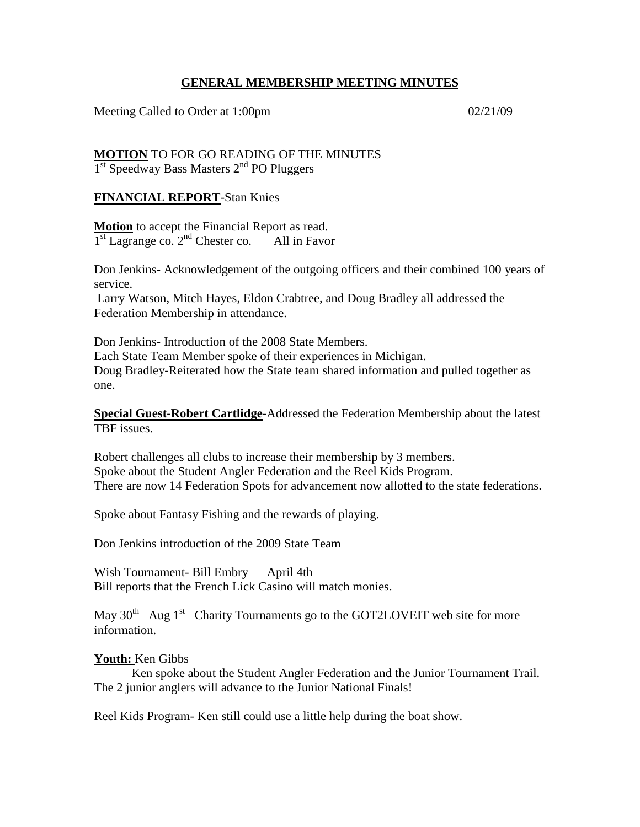## **GENERAL MEMBERSHIP MEETING MINUTES**

Meeting Called to Order at 1:00pm 02/21/09

**MOTION** TO FOR GO READING OF THE MINUTES  $1<sup>st</sup> Speedway Bass Masters 2<sup>nd</sup> PO Pluggers$ 

# **FINANCIAL REPORT**-Stan Knies

**Motion** to accept the Financial Report as read.  $1<sup>st</sup> Lagrange co.$   $2<sup>nd</sup> Chester co.$  All in Favor

Don Jenkins- Acknowledgement of the outgoing officers and their combined 100 years of service.

Larry Watson, Mitch Hayes, Eldon Crabtree, and Doug Bradley all addressed the Federation Membership in attendance.

Don Jenkins- Introduction of the 2008 State Members. Each State Team Member spoke of their experiences in Michigan. Doug Bradley-Reiterated how the State team shared information and pulled together as one.

**Special Guest-Robert Cartlidge**-Addressed the Federation Membership about the latest TBF issues.

Robert challenges all clubs to increase their membership by 3 members. Spoke about the Student Angler Federation and the Reel Kids Program. There are now 14 Federation Spots for advancement now allotted to the state federations.

Spoke about Fantasy Fishing and the rewards of playing.

Don Jenkins introduction of the 2009 State Team

Wish Tournament- Bill Embry April 4th Bill reports that the French Lick Casino will match monies.

May  $30<sup>th</sup>$  Aug 1<sup>st</sup> Charity Tournaments go to the GOT2LOVEIT web site for more information.

#### **Youth:** Ken Gibbs

Ken spoke about the Student Angler Federation and the Junior Tournament Trail. The 2 junior anglers will advance to the Junior National Finals!

Reel Kids Program- Ken still could use a little help during the boat show.